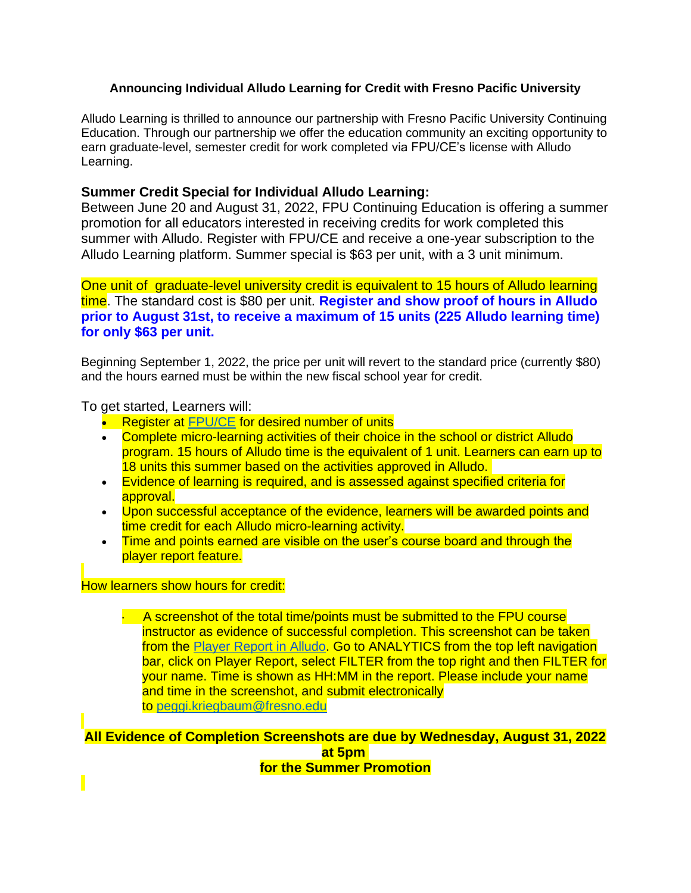## **Announcing Individual Alludo Learning for Credit with Fresno Pacific University**

Alludo Learning is thrilled to announce our partnership with Fresno Pacific University Continuing Education. Through our partnership we offer the education community an exciting opportunity to earn graduate-level, semester credit for work completed via FPU/CE's license with Alludo Learning.

## **Summer Credit Special for Individual Alludo Learning:**

Between June 20 and August 31, 2022, FPU Continuing Education is offering a summer promotion for all educators interested in receiving credits for work completed this summer with Alludo. Register with FPU/CE and receive a one-year subscription to the Alludo Learning platform. Summer special is \$63 per unit, with a 3 unit minimum.

One unit of graduate-level university credit is equivalent to 15 hours of Alludo learning time. The standard cost is \$80 per unit. **Register and show proof of hours in Alludo prior to August 31st, to receive a maximum of 15 units (225 Alludo learning time) for only \$63 per unit.**

Beginning September 1, 2022, the price per unit will revert to the standard price (currently \$80) and the hours earned must be within the new fiscal school year for credit.

To get started, Learners will:

- Register at [FPU/CE](https://ce.fresno.edu/educator-workshops/district-organization-workshops/alludo-learning/) for desired number of units
- Complete micro-learning activities of their choice in the school or district Alludo program. 15 hours of Alludo time is the equivalent of 1 unit. Learners can earn up to 18 units this summer based on the activities approved in Alludo.
- Evidence of learning is required, and is assessed against specified criteria for approval.
- Upon successful acceptance of the evidence, learners will be awarded points and time credit for each Alludo micro-learning activity.
- Time and points earned are visible on the user's course board and through the player report feature.

How learners show hours for credit:

 $\cdot$  A screenshot of the total time/points must be submitted to the FPU course instructor as evidence of successful completion. This screenshot can be taken from the [Player Report in Alludo.](https://help.alludolearning.com/article/83-players-report) Go to ANALYTICS from the top left navigation bar, click on Player Report, select FILTER from the top right and then FILTER for your name. Time is shown as HH:MM in the report. Please include your name and time in the screenshot, and submit electronically to [peggi.kriegbaum@fresno.edu](mailto:peggi.kriegbaum@fresno.edu)

**All Evidence of Completion Screenshots are due by Wednesday, August 31, 2022 at 5pm for the Summer Promotion**